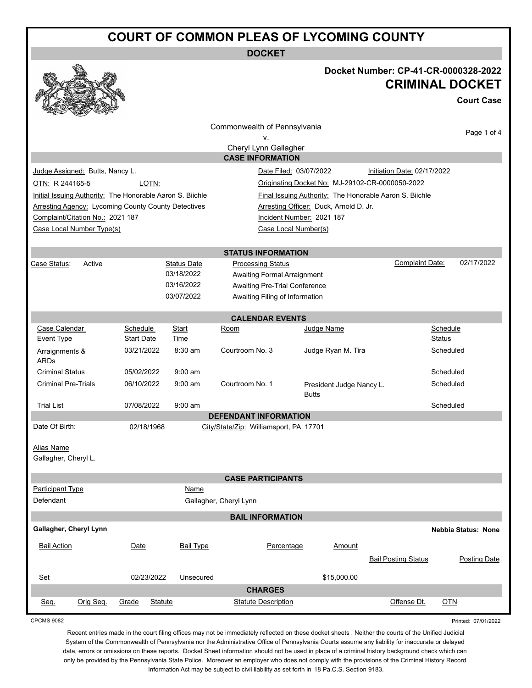**DOCKET**



### **Docket Number: CP-41-CR-0000328-2022 CRIMINAL DOCKET**

**Court Case**

| $-v$<br><b>Contract of the Contract of the Contract of the Contract of the Contract of The Contract of The Contract of The Contract of The Contract of The Contract of The Contract of The Contract of The Contract of The Contract of T</b><br>$-2$ |                   |                    |                                                  |                                        |                          |                                                         |            |                            |
|------------------------------------------------------------------------------------------------------------------------------------------------------------------------------------------------------------------------------------------------------|-------------------|--------------------|--------------------------------------------------|----------------------------------------|--------------------------|---------------------------------------------------------|------------|----------------------------|
| Commonwealth of Pennsylvania                                                                                                                                                                                                                         |                   |                    |                                                  |                                        |                          | Page 1 of 4                                             |            |                            |
|                                                                                                                                                                                                                                                      |                   |                    | v.                                               |                                        |                          |                                                         |            |                            |
|                                                                                                                                                                                                                                                      |                   |                    | Cheryl Lynn Gallagher<br><b>CASE INFORMATION</b> |                                        |                          |                                                         |            |                            |
|                                                                                                                                                                                                                                                      |                   |                    |                                                  |                                        |                          |                                                         |            |                            |
| Judge Assigned: Butts, Nancy L.                                                                                                                                                                                                                      |                   |                    |                                                  | Date Filed: 03/07/2022                 |                          | Initiation Date: 02/17/2022                             |            |                            |
| OTN: R 244165-5                                                                                                                                                                                                                                      | LOTN:             |                    |                                                  |                                        |                          | Originating Docket No: MJ-29102-CR-0000050-2022         |            |                            |
| Initial Issuing Authority: The Honorable Aaron S. Biichle                                                                                                                                                                                            |                   |                    |                                                  |                                        |                          | Final Issuing Authority: The Honorable Aaron S. Biichle |            |                            |
| <b>Arresting Agency: Lycoming County County Detectives</b>                                                                                                                                                                                           |                   |                    |                                                  | Arresting Officer: Duck, Arnold D. Jr. |                          |                                                         |            |                            |
| Complaint/Citation No.: 2021 187                                                                                                                                                                                                                     |                   |                    |                                                  | Incident Number: 2021 187              |                          |                                                         |            |                            |
| Case Local Number Type(s)                                                                                                                                                                                                                            |                   |                    |                                                  | Case Local Number(s)                   |                          |                                                         |            |                            |
|                                                                                                                                                                                                                                                      |                   |                    | <b>STATUS INFORMATION</b>                        |                                        |                          |                                                         |            |                            |
| Active<br>Case Status:                                                                                                                                                                                                                               |                   | <b>Status Date</b> | <b>Processing Status</b>                         |                                        |                          | Complaint Date:                                         |            | 02/17/2022                 |
|                                                                                                                                                                                                                                                      |                   | 03/18/2022         | Awaiting Formal Arraignment                      |                                        |                          |                                                         |            |                            |
|                                                                                                                                                                                                                                                      |                   | 03/16/2022         | <b>Awaiting Pre-Trial Conference</b>             |                                        |                          |                                                         |            |                            |
|                                                                                                                                                                                                                                                      |                   | 03/07/2022         | Awaiting Filing of Information                   |                                        |                          |                                                         |            |                            |
|                                                                                                                                                                                                                                                      |                   |                    |                                                  |                                        |                          |                                                         |            |                            |
|                                                                                                                                                                                                                                                      |                   |                    | <b>CALENDAR EVENTS</b>                           |                                        |                          |                                                         |            |                            |
| Case Calendar                                                                                                                                                                                                                                        | Schedule          | Start              | Room                                             | Judge Name                             |                          |                                                         | Schedule   |                            |
| <b>Event Type</b>                                                                                                                                                                                                                                    | <b>Start Date</b> | <b>Time</b>        |                                                  |                                        |                          |                                                         | Status     |                            |
| Arraignments &<br><b>ARDs</b>                                                                                                                                                                                                                        | 03/21/2022        | 8:30 am            | Courtroom No. 3                                  |                                        | Judge Ryan M. Tira       |                                                         | Scheduled  |                            |
| <b>Criminal Status</b>                                                                                                                                                                                                                               | 05/02/2022        | $9:00$ am          |                                                  |                                        |                          |                                                         | Scheduled  |                            |
| <b>Criminal Pre-Trials</b>                                                                                                                                                                                                                           | 06/10/2022        | $9:00$ am          | Courtroom No. 1                                  | <b>Butts</b>                           | President Judge Nancy L. |                                                         | Scheduled  |                            |
| <b>Trial List</b>                                                                                                                                                                                                                                    | 07/08/2022        | $9:00$ am          |                                                  |                                        |                          |                                                         | Scheduled  |                            |
|                                                                                                                                                                                                                                                      |                   |                    | <b>DEFENDANT INFORMATION</b>                     |                                        |                          |                                                         |            |                            |
| Date Of Birth:                                                                                                                                                                                                                                       | 02/18/1968        |                    | City/State/Zip: Williamsport, PA 17701           |                                        |                          |                                                         |            |                            |
| Alias Name<br>Gallagher, Cheryl L.                                                                                                                                                                                                                   |                   |                    |                                                  |                                        |                          |                                                         |            |                            |
|                                                                                                                                                                                                                                                      |                   |                    |                                                  |                                        |                          |                                                         |            |                            |
|                                                                                                                                                                                                                                                      |                   |                    | <b>CASE PARTICIPANTS</b>                         |                                        |                          |                                                         |            |                            |
| <b>Participant Type</b>                                                                                                                                                                                                                              |                   | Name               |                                                  |                                        |                          |                                                         |            |                            |
| Defendant                                                                                                                                                                                                                                            |                   |                    | Gallagher, Cheryl Lynn                           |                                        |                          |                                                         |            |                            |
| <b>BAIL INFORMATION</b>                                                                                                                                                                                                                              |                   |                    |                                                  |                                        |                          |                                                         |            |                            |
| Gallagher, Cheryl Lynn                                                                                                                                                                                                                               |                   |                    |                                                  |                                        |                          |                                                         |            | <b>Nebbia Status: None</b> |
| <b>Bail Action</b>                                                                                                                                                                                                                                   | Date              | <b>Bail Type</b>   |                                                  | Percentage                             | Amount                   |                                                         |            |                            |
|                                                                                                                                                                                                                                                      |                   |                    |                                                  |                                        |                          | <b>Bail Posting Status</b>                              |            | <b>Posting Date</b>        |
|                                                                                                                                                                                                                                                      |                   |                    |                                                  |                                        |                          |                                                         |            |                            |
| Set                                                                                                                                                                                                                                                  | 02/23/2022        | Unsecured          |                                                  |                                        | \$15,000.00              |                                                         |            |                            |
|                                                                                                                                                                                                                                                      |                   |                    | <b>CHARGES</b>                                   |                                        |                          |                                                         |            |                            |
| Orig Seq.<br>Seq.                                                                                                                                                                                                                                    | Grade<br>Statute  |                    | <b>Statute Description</b>                       |                                        |                          | Offense Dt.                                             | <b>OTN</b> |                            |

CPCMS 9082

Printed: 07/01/2022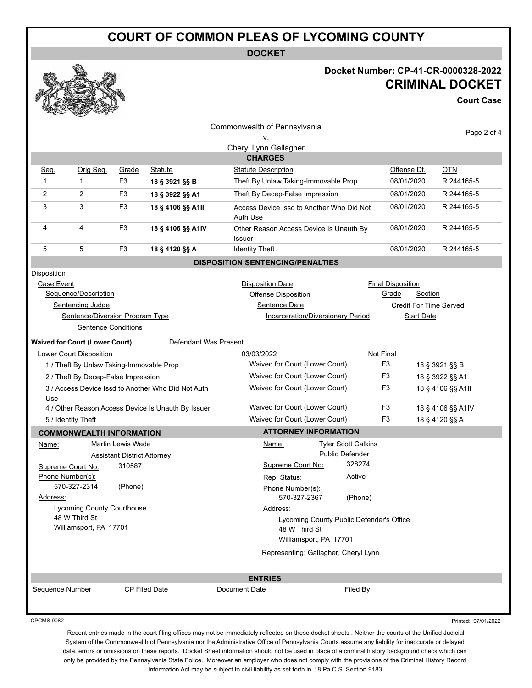**DOCKET**

#### **Docket Number: CP-41-CR-0000328-2022 CRIMINAL DOCKET**

**Court Case**

|                                                                                                                                        |                                                                                                      |                                                                              |                                                    |                                                                                                                                                                                                                               |                                                                                                    | ouur case         |  |  |
|----------------------------------------------------------------------------------------------------------------------------------------|------------------------------------------------------------------------------------------------------|------------------------------------------------------------------------------|----------------------------------------------------|-------------------------------------------------------------------------------------------------------------------------------------------------------------------------------------------------------------------------------|----------------------------------------------------------------------------------------------------|-------------------|--|--|
|                                                                                                                                        |                                                                                                      |                                                                              |                                                    | Commonwealth of Pennsylvania                                                                                                                                                                                                  |                                                                                                    |                   |  |  |
| Page 2 of 4<br>٧.                                                                                                                      |                                                                                                      |                                                                              |                                                    |                                                                                                                                                                                                                               |                                                                                                    |                   |  |  |
|                                                                                                                                        | Cheryl Lynn Gallagher                                                                                |                                                                              |                                                    |                                                                                                                                                                                                                               |                                                                                                    |                   |  |  |
|                                                                                                                                        |                                                                                                      |                                                                              |                                                    | <b>CHARGES</b>                                                                                                                                                                                                                |                                                                                                    |                   |  |  |
| Seq.                                                                                                                                   | Orig Seq.                                                                                            | Grade                                                                        | <b>Statute</b>                                     | <b>Statute Description</b>                                                                                                                                                                                                    | Offense Dt.                                                                                        | $OTN$             |  |  |
| 1                                                                                                                                      | 1                                                                                                    | F3                                                                           | 18 § 3921 §§ B                                     | Theft By Unlaw Taking-Immovable Prop                                                                                                                                                                                          | 08/01/2020                                                                                         | R 244165-5        |  |  |
| 2                                                                                                                                      | 2                                                                                                    | F <sub>3</sub>                                                               | 18 § 3922 §§ A1                                    | Theft By Decep-False Impression                                                                                                                                                                                               | 08/01/2020                                                                                         | R 244165-5        |  |  |
| 3                                                                                                                                      | 3                                                                                                    | F3                                                                           | 18 § 4106 §§ A1II                                  | Access Device Issd to Another Who Did Not<br>Auth Use                                                                                                                                                                         | 08/01/2020                                                                                         | R 244165-5        |  |  |
| 4                                                                                                                                      | 4                                                                                                    | F3                                                                           | 18 § 4106 §§ A1IV                                  | Other Reason Access Device Is Unauth By<br><b>Issuer</b>                                                                                                                                                                      | 08/01/2020                                                                                         | R 244165-5        |  |  |
| 5                                                                                                                                      | 5                                                                                                    | F <sub>3</sub>                                                               | 18 § 4120 §§ A                                     | <b>Identity Theft</b>                                                                                                                                                                                                         | 08/01/2020                                                                                         | R 244165-5        |  |  |
|                                                                                                                                        |                                                                                                      |                                                                              |                                                    | <b>DISPOSITION SENTENCING/PENALTIES</b>                                                                                                                                                                                       |                                                                                                    |                   |  |  |
| Disposition<br>Case Event<br>Sequence/Description<br>Sentencing Judge<br>Sentence/Diversion Program Type<br><b>Sentence Conditions</b> |                                                                                                      |                                                                              |                                                    | <b>Disposition Date</b><br>Offense Disposition<br>Sentence Date<br><b>Incarceration/Diversionary Period</b>                                                                                                                   | <b>Final Disposition</b><br>Grade<br>Section<br><b>Credit For Time Served</b><br><b>Start Date</b> |                   |  |  |
|                                                                                                                                        | <b>Waived for Court (Lower Court)</b>                                                                |                                                                              | Defendant Was Present                              |                                                                                                                                                                                                                               |                                                                                                    |                   |  |  |
|                                                                                                                                        | Lower Court Disposition                                                                              |                                                                              |                                                    | 03/03/2022                                                                                                                                                                                                                    | Not Final                                                                                          |                   |  |  |
|                                                                                                                                        | 1 / Theft By Unlaw Taking-Immovable Prop                                                             |                                                                              |                                                    | Waived for Court (Lower Court)                                                                                                                                                                                                | F3                                                                                                 | 18 § 3921 §§ B    |  |  |
| 2 / Theft By Decep-False Impression                                                                                                    |                                                                                                      |                                                                              |                                                    | Waived for Court (Lower Court)                                                                                                                                                                                                | F3                                                                                                 | 18 § 3922 §§ A1   |  |  |
|                                                                                                                                        |                                                                                                      |                                                                              | 3 / Access Device Issd to Another Who Did Not Auth | Waived for Court (Lower Court)                                                                                                                                                                                                | F3                                                                                                 | 18 § 4106 §§ A1II |  |  |
| Use                                                                                                                                    |                                                                                                      |                                                                              | 4 / Other Reason Access Device Is Unauth By Issuer | Waived for Court (Lower Court)                                                                                                                                                                                                | F3                                                                                                 | 18 § 4106 §§ A1IV |  |  |
|                                                                                                                                        | 5 / Identity Theft                                                                                   |                                                                              |                                                    | Waived for Court (Lower Court)                                                                                                                                                                                                | F <sub>3</sub>                                                                                     | 18 § 4120 §§ A    |  |  |
|                                                                                                                                        | <b>COMMONWEALTH INFORMATION</b>                                                                      |                                                                              |                                                    | <b>ATTORNEY INFORMATION</b>                                                                                                                                                                                                   |                                                                                                    |                   |  |  |
| Name:<br>Address:                                                                                                                      | Supreme Court No:<br>Phone Number(s):<br>570-327-2314<br>Lycoming County Courthouse<br>48 W Third St | Martin Lewis Wade<br><b>Assistant District Attorney</b><br>310587<br>(Phone) |                                                    | <b>Tyler Scott Calkins</b><br>Name:<br><b>Public Defender</b><br>328274<br>Supreme Court No:<br>Active<br>Rep. Status:<br>Phone Number(s):<br>570-327-2367<br>(Phone)<br>Address:<br>Lycoming County Public Defender's Office |                                                                                                    |                   |  |  |
| Williamsport, PA 17701<br>48 W Third St<br>Williamsport, PA 17701<br>Representing: Gallagher, Cheryl Lynn                              |                                                                                                      |                                                                              |                                                    |                                                                                                                                                                                                                               |                                                                                                    |                   |  |  |
| Sequence Number                                                                                                                        |                                                                                                      |                                                                              | <b>CP Filed Date</b>                               | <b>ENTRIES</b><br>Document Date<br>Filed By                                                                                                                                                                                   |                                                                                                    |                   |  |  |
|                                                                                                                                        |                                                                                                      |                                                                              |                                                    |                                                                                                                                                                                                                               |                                                                                                    |                   |  |  |

CPCMS 9082

Printed: 07/01/2022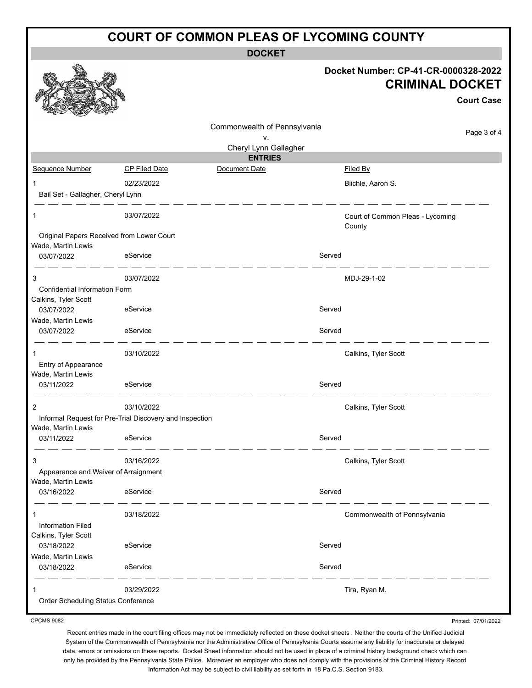**DOCKET**

| Commonwealth of Pennsylvania<br>Page 3 of 4<br>۷.<br>Cheryl Lynn Gallagher<br><b>ENTRIES</b><br>Sequence Number<br><b>CP Filed Date</b><br>Document Date<br>Filed By<br>Biichle, Aaron S.<br>02/23/2022<br>Bail Set - Gallagher, Cheryl Lynn<br>03/07/2022<br>$\mathbf{1}$<br>Court of Common Pleas - Lycoming<br>County<br>Original Papers Received from Lower Court<br>Wade, Martin Lewis<br>Served<br>eService<br>03/07/2022<br>03/07/2022<br>MDJ-29-1-02<br>3<br><b>Confidential Information Form</b><br>Calkins, Tyler Scott<br>eService<br>Served<br>03/07/2022<br>Wade, Martin Lewis<br>eService<br>Served<br>03/07/2022<br>03/10/2022<br>Calkins, Tyler Scott<br>1<br>Entry of Appearance<br>Wade, Martin Lewis<br>Served<br>eService<br>03/11/2022<br>$\overline{2}$<br>03/10/2022<br>Calkins, Tyler Scott<br>Informal Request for Pre-Trial Discovery and Inspection<br>Wade, Martin Lewis<br>eService<br>Served<br>03/11/2022<br>03/16/2022<br>3<br>Calkins, Tyler Scott<br>Appearance and Waiver of Arraignment<br>Wade, Martin Lewis<br>Served<br>eService<br>03/16/2022<br>03/18/2022<br>Commonwealth of Pennsylvania<br>1<br><b>Information Filed</b><br>Calkins, Tyler Scott<br>Served<br>03/18/2022<br>eService<br>Wade, Martin Lewis<br>eService<br>Served<br>03/18/2022<br>03/29/2022<br>Tira, Ryan M.<br>1<br>Order Scheduling Status Conference |  |  | Docket Number: CP-41-CR-0000328-2022<br><b>CRIMINAL DOCKET</b><br><b>Court Case</b> |
|----------------------------------------------------------------------------------------------------------------------------------------------------------------------------------------------------------------------------------------------------------------------------------------------------------------------------------------------------------------------------------------------------------------------------------------------------------------------------------------------------------------------------------------------------------------------------------------------------------------------------------------------------------------------------------------------------------------------------------------------------------------------------------------------------------------------------------------------------------------------------------------------------------------------------------------------------------------------------------------------------------------------------------------------------------------------------------------------------------------------------------------------------------------------------------------------------------------------------------------------------------------------------------------------------------------------------------------------------------------------|--|--|-------------------------------------------------------------------------------------|
|                                                                                                                                                                                                                                                                                                                                                                                                                                                                                                                                                                                                                                                                                                                                                                                                                                                                                                                                                                                                                                                                                                                                                                                                                                                                                                                                                                      |  |  |                                                                                     |
|                                                                                                                                                                                                                                                                                                                                                                                                                                                                                                                                                                                                                                                                                                                                                                                                                                                                                                                                                                                                                                                                                                                                                                                                                                                                                                                                                                      |  |  |                                                                                     |
|                                                                                                                                                                                                                                                                                                                                                                                                                                                                                                                                                                                                                                                                                                                                                                                                                                                                                                                                                                                                                                                                                                                                                                                                                                                                                                                                                                      |  |  |                                                                                     |
|                                                                                                                                                                                                                                                                                                                                                                                                                                                                                                                                                                                                                                                                                                                                                                                                                                                                                                                                                                                                                                                                                                                                                                                                                                                                                                                                                                      |  |  |                                                                                     |
|                                                                                                                                                                                                                                                                                                                                                                                                                                                                                                                                                                                                                                                                                                                                                                                                                                                                                                                                                                                                                                                                                                                                                                                                                                                                                                                                                                      |  |  |                                                                                     |
|                                                                                                                                                                                                                                                                                                                                                                                                                                                                                                                                                                                                                                                                                                                                                                                                                                                                                                                                                                                                                                                                                                                                                                                                                                                                                                                                                                      |  |  |                                                                                     |
|                                                                                                                                                                                                                                                                                                                                                                                                                                                                                                                                                                                                                                                                                                                                                                                                                                                                                                                                                                                                                                                                                                                                                                                                                                                                                                                                                                      |  |  |                                                                                     |
|                                                                                                                                                                                                                                                                                                                                                                                                                                                                                                                                                                                                                                                                                                                                                                                                                                                                                                                                                                                                                                                                                                                                                                                                                                                                                                                                                                      |  |  |                                                                                     |
|                                                                                                                                                                                                                                                                                                                                                                                                                                                                                                                                                                                                                                                                                                                                                                                                                                                                                                                                                                                                                                                                                                                                                                                                                                                                                                                                                                      |  |  |                                                                                     |
|                                                                                                                                                                                                                                                                                                                                                                                                                                                                                                                                                                                                                                                                                                                                                                                                                                                                                                                                                                                                                                                                                                                                                                                                                                                                                                                                                                      |  |  |                                                                                     |
|                                                                                                                                                                                                                                                                                                                                                                                                                                                                                                                                                                                                                                                                                                                                                                                                                                                                                                                                                                                                                                                                                                                                                                                                                                                                                                                                                                      |  |  |                                                                                     |
|                                                                                                                                                                                                                                                                                                                                                                                                                                                                                                                                                                                                                                                                                                                                                                                                                                                                                                                                                                                                                                                                                                                                                                                                                                                                                                                                                                      |  |  |                                                                                     |
|                                                                                                                                                                                                                                                                                                                                                                                                                                                                                                                                                                                                                                                                                                                                                                                                                                                                                                                                                                                                                                                                                                                                                                                                                                                                                                                                                                      |  |  |                                                                                     |
|                                                                                                                                                                                                                                                                                                                                                                                                                                                                                                                                                                                                                                                                                                                                                                                                                                                                                                                                                                                                                                                                                                                                                                                                                                                                                                                                                                      |  |  |                                                                                     |
|                                                                                                                                                                                                                                                                                                                                                                                                                                                                                                                                                                                                                                                                                                                                                                                                                                                                                                                                                                                                                                                                                                                                                                                                                                                                                                                                                                      |  |  |                                                                                     |
|                                                                                                                                                                                                                                                                                                                                                                                                                                                                                                                                                                                                                                                                                                                                                                                                                                                                                                                                                                                                                                                                                                                                                                                                                                                                                                                                                                      |  |  |                                                                                     |
|                                                                                                                                                                                                                                                                                                                                                                                                                                                                                                                                                                                                                                                                                                                                                                                                                                                                                                                                                                                                                                                                                                                                                                                                                                                                                                                                                                      |  |  |                                                                                     |
|                                                                                                                                                                                                                                                                                                                                                                                                                                                                                                                                                                                                                                                                                                                                                                                                                                                                                                                                                                                                                                                                                                                                                                                                                                                                                                                                                                      |  |  |                                                                                     |
|                                                                                                                                                                                                                                                                                                                                                                                                                                                                                                                                                                                                                                                                                                                                                                                                                                                                                                                                                                                                                                                                                                                                                                                                                                                                                                                                                                      |  |  |                                                                                     |
|                                                                                                                                                                                                                                                                                                                                                                                                                                                                                                                                                                                                                                                                                                                                                                                                                                                                                                                                                                                                                                                                                                                                                                                                                                                                                                                                                                      |  |  |                                                                                     |
|                                                                                                                                                                                                                                                                                                                                                                                                                                                                                                                                                                                                                                                                                                                                                                                                                                                                                                                                                                                                                                                                                                                                                                                                                                                                                                                                                                      |  |  |                                                                                     |
|                                                                                                                                                                                                                                                                                                                                                                                                                                                                                                                                                                                                                                                                                                                                                                                                                                                                                                                                                                                                                                                                                                                                                                                                                                                                                                                                                                      |  |  |                                                                                     |
|                                                                                                                                                                                                                                                                                                                                                                                                                                                                                                                                                                                                                                                                                                                                                                                                                                                                                                                                                                                                                                                                                                                                                                                                                                                                                                                                                                      |  |  |                                                                                     |
|                                                                                                                                                                                                                                                                                                                                                                                                                                                                                                                                                                                                                                                                                                                                                                                                                                                                                                                                                                                                                                                                                                                                                                                                                                                                                                                                                                      |  |  |                                                                                     |
|                                                                                                                                                                                                                                                                                                                                                                                                                                                                                                                                                                                                                                                                                                                                                                                                                                                                                                                                                                                                                                                                                                                                                                                                                                                                                                                                                                      |  |  |                                                                                     |
|                                                                                                                                                                                                                                                                                                                                                                                                                                                                                                                                                                                                                                                                                                                                                                                                                                                                                                                                                                                                                                                                                                                                                                                                                                                                                                                                                                      |  |  |                                                                                     |
|                                                                                                                                                                                                                                                                                                                                                                                                                                                                                                                                                                                                                                                                                                                                                                                                                                                                                                                                                                                                                                                                                                                                                                                                                                                                                                                                                                      |  |  |                                                                                     |
|                                                                                                                                                                                                                                                                                                                                                                                                                                                                                                                                                                                                                                                                                                                                                                                                                                                                                                                                                                                                                                                                                                                                                                                                                                                                                                                                                                      |  |  |                                                                                     |
|                                                                                                                                                                                                                                                                                                                                                                                                                                                                                                                                                                                                                                                                                                                                                                                                                                                                                                                                                                                                                                                                                                                                                                                                                                                                                                                                                                      |  |  |                                                                                     |
|                                                                                                                                                                                                                                                                                                                                                                                                                                                                                                                                                                                                                                                                                                                                                                                                                                                                                                                                                                                                                                                                                                                                                                                                                                                                                                                                                                      |  |  |                                                                                     |
|                                                                                                                                                                                                                                                                                                                                                                                                                                                                                                                                                                                                                                                                                                                                                                                                                                                                                                                                                                                                                                                                                                                                                                                                                                                                                                                                                                      |  |  |                                                                                     |
|                                                                                                                                                                                                                                                                                                                                                                                                                                                                                                                                                                                                                                                                                                                                                                                                                                                                                                                                                                                                                                                                                                                                                                                                                                                                                                                                                                      |  |  |                                                                                     |
|                                                                                                                                                                                                                                                                                                                                                                                                                                                                                                                                                                                                                                                                                                                                                                                                                                                                                                                                                                                                                                                                                                                                                                                                                                                                                                                                                                      |  |  |                                                                                     |
|                                                                                                                                                                                                                                                                                                                                                                                                                                                                                                                                                                                                                                                                                                                                                                                                                                                                                                                                                                                                                                                                                                                                                                                                                                                                                                                                                                      |  |  |                                                                                     |
|                                                                                                                                                                                                                                                                                                                                                                                                                                                                                                                                                                                                                                                                                                                                                                                                                                                                                                                                                                                                                                                                                                                                                                                                                                                                                                                                                                      |  |  |                                                                                     |
|                                                                                                                                                                                                                                                                                                                                                                                                                                                                                                                                                                                                                                                                                                                                                                                                                                                                                                                                                                                                                                                                                                                                                                                                                                                                                                                                                                      |  |  |                                                                                     |

CPCMS 9082

Printed: 07/01/2022